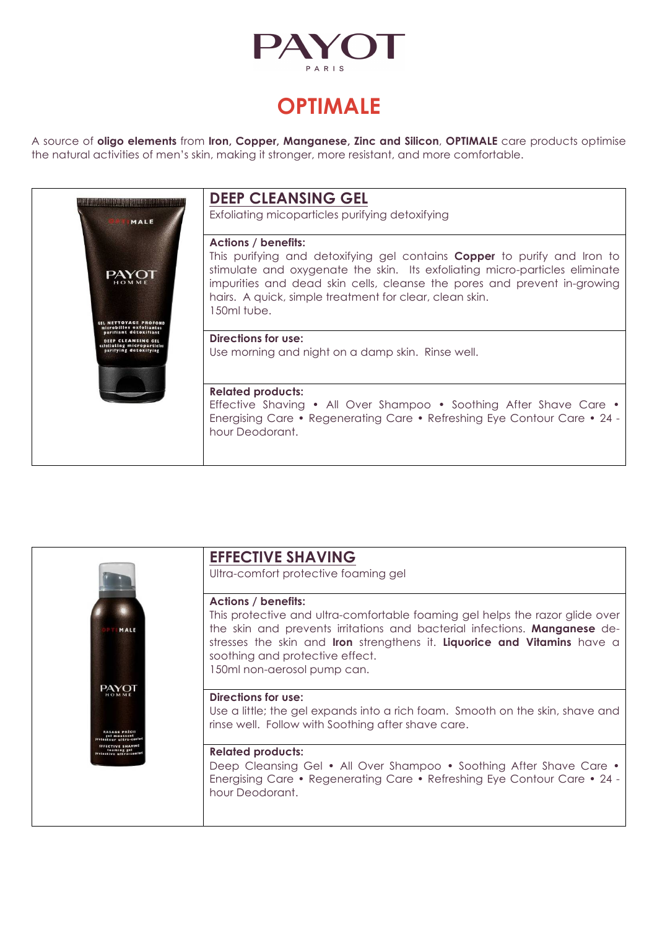

# **OPTIMALE**

A source of **oligo elements** from **Iron, Copper, Manganese, Zinc and Silicon**, **OPTIMALE** care products optimise the natural activities of men's skin, making it stronger, more resistant, and more comfortable.



|                                       | <b>EFFECTIVE SHAVING</b>                                                                                                                                                                                                                                                                                                                     |
|---------------------------------------|----------------------------------------------------------------------------------------------------------------------------------------------------------------------------------------------------------------------------------------------------------------------------------------------------------------------------------------------|
|                                       | Ultra-comfort protective foaming gel                                                                                                                                                                                                                                                                                                         |
| MALE                                  | <b>Actions / benefits:</b><br>This protective and ultra-comfortable foaming gel helps the razor glide over<br>the skin and prevents irritations and bacterial infections. Manganese de-<br>stresses the skin and <b>Iron</b> strengthens it. Liquorice and Vitamins have a<br>soothing and protective effect.<br>150ml non-aerosol pump can. |
|                                       | Directions for use:<br>Use a little; the gel expands into a rich foam. Smooth on the skin, shave and<br>rinse well. Follow with Soothing after shave care.                                                                                                                                                                                   |
| <b>FFECTIVE SHAVIN</b><br>foaming gel | <b>Related products:</b><br>Deep Cleansing Gel • All Over Shampoo • Soothing After Shave Care •<br>Energising Care • Regenerating Care • Refreshing Eye Contour Care • 24 -<br>hour Deodorant.                                                                                                                                               |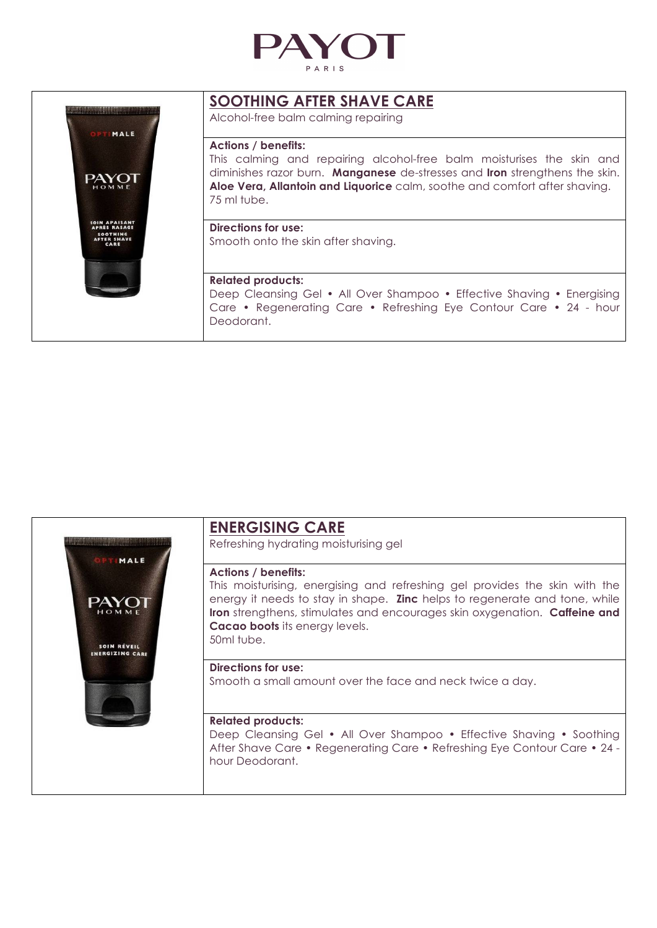





## **ENERGISING CARE**

Refreshing hydrating moisturising gel

#### **Actions / benefits:**

This moisturising, energising and refreshing gel provides the skin with the energy it needs to stay in shape. **Zinc** helps to regenerate and tone, while **Iron** strengthens, stimulates and encourages skin oxygenation. **Caffeine and Cacao boots** its energy levels. 50ml tube.

#### **Directions for use:**

Smooth a small amount over the face and neck twice a day.

#### **Related products:**

Deep Cleansing Gel • All Over Shampoo • Effective Shaving • Soothing After Shave Care • Regenerating Care • Refreshing Eye Contour Care • 24 hour Deodorant.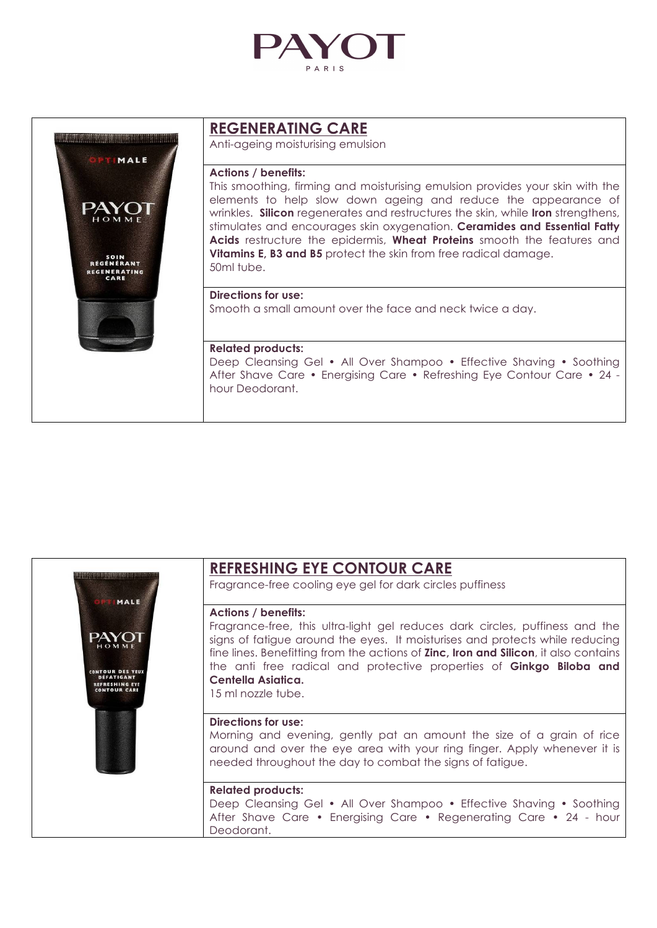



## **REGENERATING CARE**

Anti-ageing moisturising emulsion

#### **Actions / benefits:**

This smoothing, firming and moisturising emulsion provides your skin with the elements to help slow down ageing and reduce the appearance of wrinkles. **Silicon** regenerates and restructures the skin, while **Iron** strengthens, stimulates and encourages skin oxygenation. **Ceramides and Essential Fatty Acids** restructure the epidermis, **Wheat Proteins** smooth the features and **Vitamins E, B3 and B5** protect the skin from free radical damage. 50ml tube.

### **Directions for use:**

Smooth a small amount over the face and neck twice a day.

#### **Related products:**

Deep Cleansing Gel • All Over Shampoo • Effective Shaving • Soothing After Shave Care • Energising Care • Refreshing Eye Contour Care • 24 hour Deodorant.